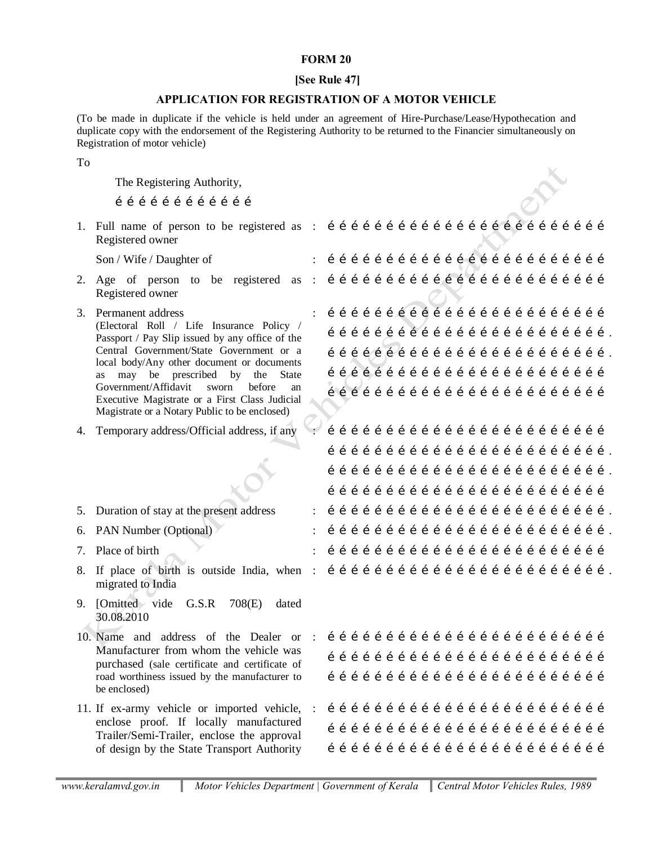# **FORM 20**

## **[See Rule 47]**

# **APPLICATION FOR REGISTRATION OF A MOTOR VEHICLE**

(To be made in duplicate if the vehicle is held under an agreement of Hire-Purchase/Lease/Hypothecation and duplicate copy with the endorsement of the Registering Authority to be returned to the Financier simultaneously on Registration of motor vehicle)

### To

The Registering Authority,

………………………………

1. Full name of person to be registered as : ……………………………………………………………… Registered owner Son / Wife / Daughter of : ……………………………………………………………… 2. Age of person to be registered as : ……………………………………………………………… Registered owner 3. Permanent address (Electoral Roll / Life Insurance Policy / Passport / Pay Slip issued by any office of the Central Government/State Government or a local body/Any other document or documents as may be prescribed by the State Government/Affidavit sworn before an Executive Magistrate or a First Class Judicial Magistrate or a Notary Public to be enclosed) : ……………………………………………………………… ………………………………………………………………. ………………………………………………………………. ………………………………………………………………  $1$   $\set{1}$   $\set{1}$   $\set{1}$   $\set{1}$   $\set{1}$   $\set{1}$   $\set{1}$   $\set{1}$   $\set{1}$   $\set{1}$   $\set{1}$   $\set{1}$   $\set{1}$   $\set{1}$   $\set{1}$   $\set{1}$   $\set{1}$ 4. Temporary address/Official address, if any : ……………………………………………………………… ………………………………………………………………. ………………………………………………………………. ……………………………………………………………… 5. Duration of stay at the present address : ………………………………………………………………. 6. PAN Number (Optional) : ………………………………………………………………. 7. Place of birth : ……………………………………………………………… 8. If place of birth is outside India, when : ………………………………………………………………. migrated to India 9. [Omitted vide G.S.R 708(E) dated 30.08.2010 10. Name and address of the Dealer or Manufacturer from whom the vehicle was purchased (sale certificate and certificate of road worthiness issued by the manufacturer to be enclosed) : ……………………………………………………………… ……………………………………………………………… ……………………………………………………………… 11. If ex-army vehicle or imported vehicle, : ……………………………………………………………… enclose proof. If locally manufactured Trailer/Semi-Trailer, enclose the approval of design by the State Transport Authority ……………………………………………………………… ………………………………………………………………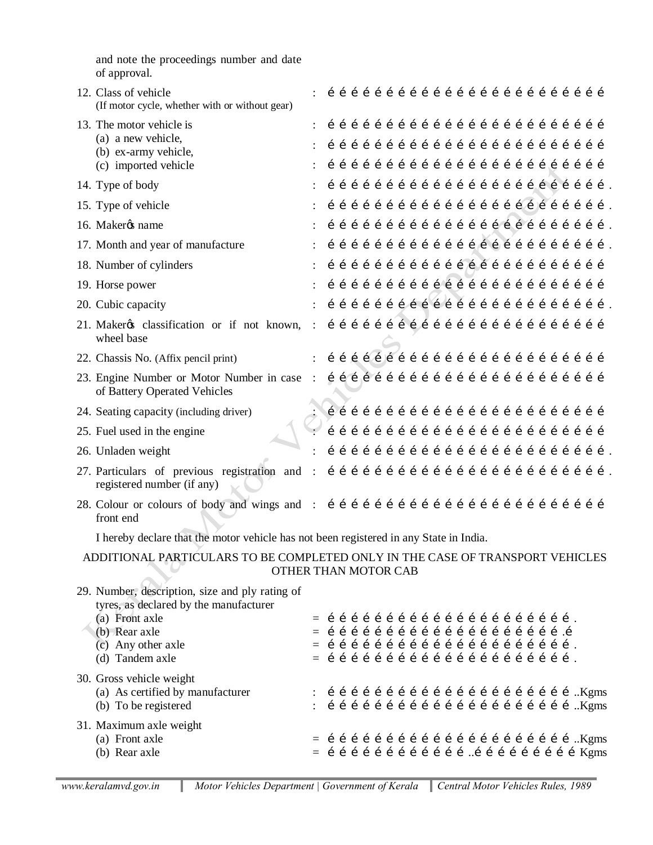and note the proceedings number and date of approval.

| 12. Class of vehicle<br>(If motor cycle, whether with or without gear)                                |  |  |  |  |  |  |  |  |  |  |  |                                                                                                                                                                                                                     |  |
|-------------------------------------------------------------------------------------------------------|--|--|--|--|--|--|--|--|--|--|--|---------------------------------------------------------------------------------------------------------------------------------------------------------------------------------------------------------------------|--|
| 13. The motor vehicle is                                                                              |  |  |  |  |  |  |  |  |  |  |  |                                                                                                                                                                                                                     |  |
| (a) a new vehicle,                                                                                    |  |  |  |  |  |  |  |  |  |  |  |                                                                                                                                                                                                                     |  |
| (b) ex-army vehicle,<br>(c) imported vehicle                                                          |  |  |  |  |  |  |  |  |  |  |  |                                                                                                                                                                                                                     |  |
| 14. Type of body                                                                                      |  |  |  |  |  |  |  |  |  |  |  |                                                                                                                                                                                                                     |  |
| 15. Type of vehicle                                                                                   |  |  |  |  |  |  |  |  |  |  |  |                                                                                                                                                                                                                     |  |
| 16. Makerøs name                                                                                      |  |  |  |  |  |  |  |  |  |  |  |                                                                                                                                                                                                                     |  |
| 17. Month and year of manufacture                                                                     |  |  |  |  |  |  |  |  |  |  |  |                                                                                                                                                                                                                     |  |
| 18. Number of cylinders                                                                               |  |  |  |  |  |  |  |  |  |  |  | 111111111111111111111111                                                                                                                                                                                            |  |
| 19. Horse power                                                                                       |  |  |  |  |  |  |  |  |  |  |  | 1111111111111111111111111                                                                                                                                                                                           |  |
| 20. Cubic capacity                                                                                    |  |  |  |  |  |  |  |  |  |  |  |                                                                                                                                                                                                                     |  |
| wheel base                                                                                            |  |  |  |  |  |  |  |  |  |  |  |                                                                                                                                                                                                                     |  |
| 22. Chassis No. (Affix pencil print)                                                                  |  |  |  |  |  |  |  |  |  |  |  | : $\hat{i}$ $\hat{j}$ $\hat{j}$ $\hat{k}$ $\hat{j}$ $\hat{i}$ $\hat{j}$ $\hat{i}$ $\hat{j}$ $\hat{i}$ $\hat{j}$ $\hat{i}$ $\hat{j}$ $\hat{j}$ $\hat{i}$ $\hat{j}$ $\hat{j}$ $\hat{i}$ $\hat{j}$ $\hat{j}$ $\hat{j}$ |  |
| of Battery Operated Vehicles                                                                          |  |  |  |  |  |  |  |  |  |  |  |                                                                                                                                                                                                                     |  |
| 24. Seating capacity (including driver)                                                               |  |  |  |  |  |  |  |  |  |  |  |                                                                                                                                                                                                                     |  |
| 25. Fuel used in the engine                                                                           |  |  |  |  |  |  |  |  |  |  |  |                                                                                                                                                                                                                     |  |
| 26. Unladen weight                                                                                    |  |  |  |  |  |  |  |  |  |  |  |                                                                                                                                                                                                                     |  |
| registered number (if any)                                                                            |  |  |  |  |  |  |  |  |  |  |  |                                                                                                                                                                                                                     |  |
| front end                                                                                             |  |  |  |  |  |  |  |  |  |  |  |                                                                                                                                                                                                                     |  |
| I hereby declare that the motor vehicle has not been registered in any State in India.                |  |  |  |  |  |  |  |  |  |  |  |                                                                                                                                                                                                                     |  |
| ADDITIONAL PARTICULARS TO BE COMPLETED ONLY IN THE CASE OF TRANSPORT VEHICLES<br>OTHER THAN MOTOR CAB |  |  |  |  |  |  |  |  |  |  |  |                                                                                                                                                                                                                     |  |
| 29. Number, description, size and ply rating of<br>tyres, as declared by the manufacturer             |  |  |  |  |  |  |  |  |  |  |  |                                                                                                                                                                                                                     |  |
| (a) Front axle<br>(b) Rear axle                                                                       |  |  |  |  |  |  |  |  |  |  |  |                                                                                                                                                                                                                     |  |
| (c) Any other axle                                                                                    |  |  |  |  |  |  |  |  |  |  |  |                                                                                                                                                                                                                     |  |
| (d) Tandem axle                                                                                       |  |  |  |  |  |  |  |  |  |  |  |                                                                                                                                                                                                                     |  |
| 30. Gross vehicle weight                                                                              |  |  |  |  |  |  |  |  |  |  |  |                                                                                                                                                                                                                     |  |
| (a) As certified by manufacturer<br>(b) To be registered                                              |  |  |  |  |  |  |  |  |  |  |  |                                                                                                                                                                                                                     |  |
|                                                                                                       |  |  |  |  |  |  |  |  |  |  |  |                                                                                                                                                                                                                     |  |

#### 31. Maximum axle weight (a) Front axle (b) Rear axle = = ………………………………………………………..Kgms ………………………………..………………………Kgms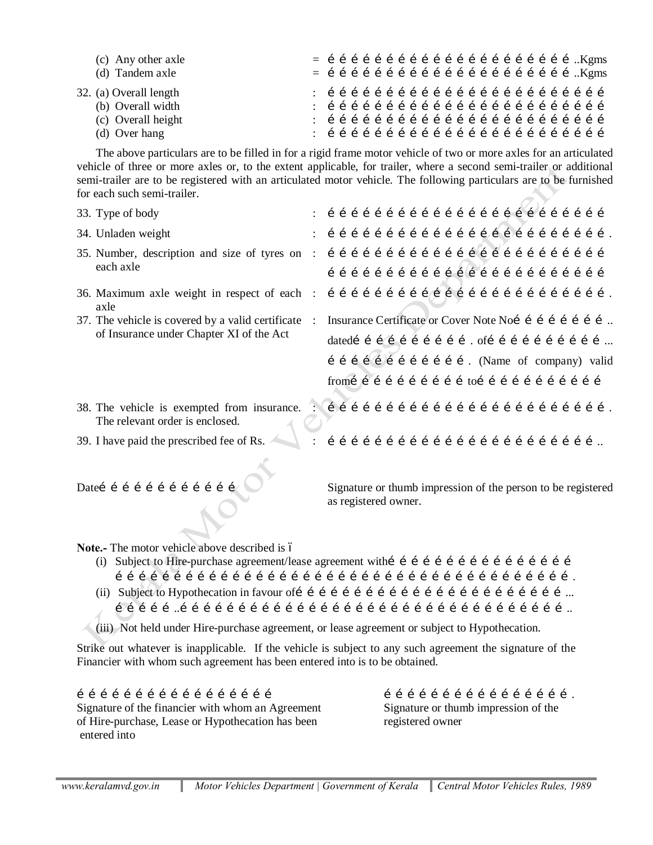| (c) Any other axle<br>(d) Tandem axle                                                                                                                                                                                                                                                                                                                                                         |  |                                                       |  |  |  |  |  |                      |  |  |  |  |  |  |  |  |                                                              |  |
|-----------------------------------------------------------------------------------------------------------------------------------------------------------------------------------------------------------------------------------------------------------------------------------------------------------------------------------------------------------------------------------------------|--|-------------------------------------------------------|--|--|--|--|--|----------------------|--|--|--|--|--|--|--|--|--------------------------------------------------------------|--|
| 32. (a) Overall length<br>(b) Overall width<br>(c) Overall height<br>(d) Over hang                                                                                                                                                                                                                                                                                                            |  |                                                       |  |  |  |  |  |                      |  |  |  |  |  |  |  |  |                                                              |  |
| The above particulars are to be filled in for a rigid frame motor vehicle of two or more axles for an articulated<br>vehicle of three or more axles or, to the extent applicable, for trailer, where a second semi-trailer or additional<br>semi-trailer are to be registered with an articulated motor vehicle. The following particulars are to be furnished<br>for each such semi-trailer. |  |                                                       |  |  |  |  |  |                      |  |  |  |  |  |  |  |  |                                                              |  |
| 33. Type of body                                                                                                                                                                                                                                                                                                                                                                              |  |                                                       |  |  |  |  |  |                      |  |  |  |  |  |  |  |  |                                                              |  |
| 34. Unladen weight                                                                                                                                                                                                                                                                                                                                                                            |  |                                                       |  |  |  |  |  |                      |  |  |  |  |  |  |  |  |                                                              |  |
| each axle                                                                                                                                                                                                                                                                                                                                                                                     |  |                                                       |  |  |  |  |  |                      |  |  |  |  |  |  |  |  |                                                              |  |
| axle                                                                                                                                                                                                                                                                                                                                                                                          |  |                                                       |  |  |  |  |  |                      |  |  |  |  |  |  |  |  |                                                              |  |
| 37. The vehicle is covered by a valid certificate :                                                                                                                                                                                                                                                                                                                                           |  | Insurance Certificate or Cover Note Noi í í í í í í í |  |  |  |  |  |                      |  |  |  |  |  |  |  |  |                                                              |  |
| of Insurance under Chapter XI of the Act                                                                                                                                                                                                                                                                                                                                                      |  |                                                       |  |  |  |  |  |                      |  |  |  |  |  |  |  |  | datedí í í í í í í í í í í . ofí í í í í í í í í í í         |  |
|                                                                                                                                                                                                                                                                                                                                                                                               |  |                                                       |  |  |  |  |  |                      |  |  |  |  |  |  |  |  | í í í í í í í í í í í í . (Name of company) valid            |  |
|                                                                                                                                                                                                                                                                                                                                                                                               |  |                                                       |  |  |  |  |  |                      |  |  |  |  |  |  |  |  |                                                              |  |
| The relevant order is enclosed.                                                                                                                                                                                                                                                                                                                                                               |  |                                                       |  |  |  |  |  |                      |  |  |  |  |  |  |  |  |                                                              |  |
| 39. I have paid the prescribed fee of Rs.                                                                                                                                                                                                                                                                                                                                                     |  |                                                       |  |  |  |  |  |                      |  |  |  |  |  |  |  |  |                                                              |  |
| Dateí í í í í í í í í í í í í                                                                                                                                                                                                                                                                                                                                                                 |  |                                                       |  |  |  |  |  | as registered owner. |  |  |  |  |  |  |  |  | Signature or thumb impression of the person to be registered |  |

Note.- The motor vehicle above described is 6

(i) Subject to Hire-purchase agreement/lease agreement with  $f \in f$  is  $f \in f$  if  $f \in f$  if  $f \in f$ ……………………………………………………………………………………………………….

(ii) Subject to Hypothecation in favour of……………………………………………………………...  $1/1$   $1/1$   $1/1$   $1/1$   $1/1$   $1/1$   $1/1$   $1/1$   $1/1$   $1/1$   $1/1$   $1/1$   $1/1$   $1/1$   $1/1$   $1/1$   $1/1$   $1/1$   $1/1$ 

(iii) Not held under Hire-purchase agreement, or lease agreement or subject to Hypothecation.

Strike out whatever is inapplicable. If the vehicle is subject to any such agreement the signature of the Financier with whom such agreement has been entered into is to be obtained.

 $\begin{array}{cccc} \text{if} \ \text{if} \ \text{if} \ \text{if} \ \text{if} \ \text{if} \ \text{if} \ \text{if} \ \text{if} \ \text{if} \ \text{if} \ \text{if} \ \text{if} \ \text{if} \ \text{if} \ \text{if} \ \text{if} \ \text{if} \ \text{if} \ \text{if} \ \text{if} \ \text{if} \ \text{if} \ \text{if} \ \text{if} \ \text{if} \ \text{if} \ \text{if} \ \text{if} \ \text{if} \ \text{if} \ \text{if} \ \text{if} \ \text{if} \ \text{if} \ \text{$ Signature of the financier with whom an Agreement Signature or thumb impression of the of Hire-purchase, Lease or Hypothecation has been registered owner entered into